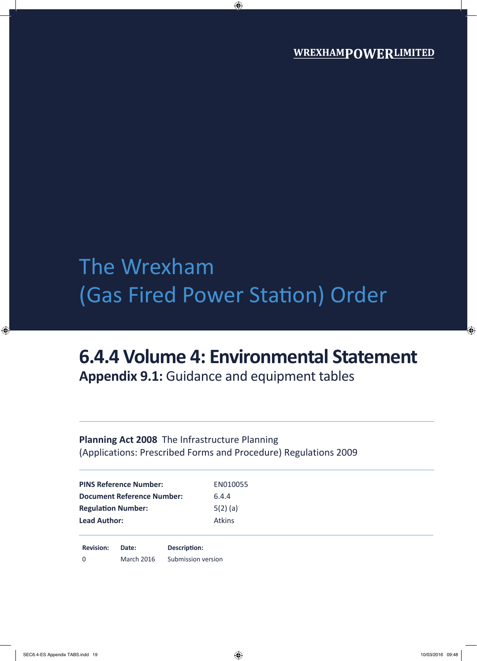# The Wrexham (Gas Fired Power Station) Order

## **6.4.4 Volume 4: Environmental Statement**

**Appendix 9.1:** Guidance and equipment tables

### **Planning Act 2008** The Infrastructure Planning (Applications: Prescribed Forms and Procedure) Regulations 2009

| <b>PINS Reference Number:</b>     | EN010055      |
|-----------------------------------|---------------|
| <b>Document Reference Number:</b> | 6.4.4         |
| <b>Regulation Number:</b>         | $5(2)$ (a)    |
| <b>Lead Author:</b>               | <b>Atkins</b> |
|                                   |               |

**Revision: Date: Description:** 0 March 2016 Submission version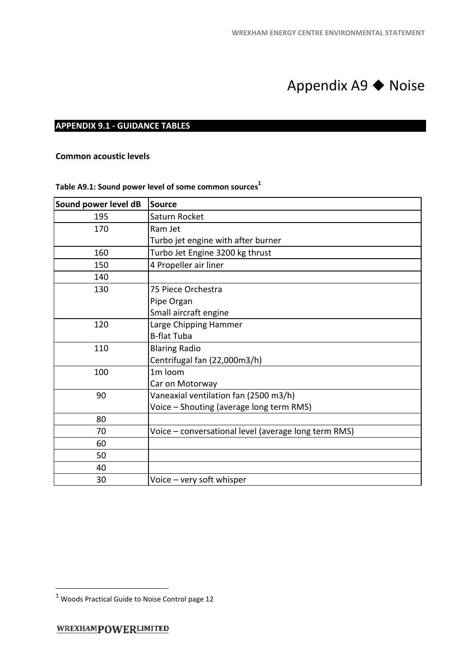## Appendix A9 ◆ Noise

### **APPENDIX 9.1 - GUIDANCE TABLES**

|                                       | <b>WREXHAM ENERGY CENTRE ENVIRONMENTAL STATEMENT</b>              |  |  |
|---------------------------------------|-------------------------------------------------------------------|--|--|
|                                       |                                                                   |  |  |
|                                       |                                                                   |  |  |
|                                       |                                                                   |  |  |
|                                       | Appendix A9 $\blacklozenge$ Noise                                 |  |  |
|                                       |                                                                   |  |  |
| <b>APPENDIX 9.1 - GUIDANCE TABLES</b> |                                                                   |  |  |
|                                       |                                                                   |  |  |
|                                       |                                                                   |  |  |
| <b>Common acoustic levels</b>         |                                                                   |  |  |
|                                       |                                                                   |  |  |
|                                       | Table A9.1: Sound power level of some common sources <sup>1</sup> |  |  |
| Sound power level dB                  | <b>Source</b>                                                     |  |  |
| 195                                   | Saturn Rocket                                                     |  |  |
| 170                                   | Ram Jet                                                           |  |  |
|                                       | Turbo jet engine with after burner                                |  |  |
| 160                                   | Turbo Jet Engine 3200 kg thrust                                   |  |  |
| 150                                   | 4 Propeller air liner                                             |  |  |
| 140                                   |                                                                   |  |  |
| 130                                   | 75 Piece Orchestra                                                |  |  |
|                                       | Pipe Organ                                                        |  |  |
|                                       | Small aircraft engine                                             |  |  |
| 120                                   | Large Chipping Hammer                                             |  |  |
|                                       | <b>B-flat Tuba</b>                                                |  |  |
| 110                                   | <b>Blaring Radio</b>                                              |  |  |
|                                       | Centrifugal fan (22,000m3/h)                                      |  |  |
| 100                                   | 1m loom                                                           |  |  |
|                                       | Car on Motorway                                                   |  |  |
| 90                                    | Vaneaxial ventilation fan (2500 m3/h)                             |  |  |
|                                       | Voice - Shouting (average long term RMS)                          |  |  |
| 80                                    |                                                                   |  |  |
| 70                                    | Voice - conversational level (average long term RMS)              |  |  |
| 60                                    |                                                                   |  |  |
| 50                                    |                                                                   |  |  |
| 40                                    |                                                                   |  |  |
| 30                                    | Voice - very soft whisper                                         |  |  |

l

 $^1$  Woods Practical Guide to Noise Control page 12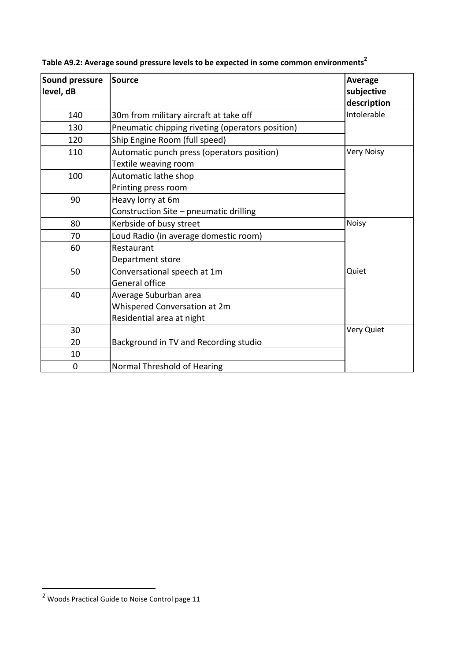| <b>Sound pressure</b><br>level, dB | <b>Source</b>                                                                      | <b>Average</b><br>subjective<br>description |  |
|------------------------------------|------------------------------------------------------------------------------------|---------------------------------------------|--|
| 140                                | 30m from military aircraft at take off                                             | Intolerable                                 |  |
| 130                                | Pneumatic chipping riveting (operators position)                                   |                                             |  |
| 120                                | Ship Engine Room (full speed)                                                      |                                             |  |
| 110                                | Automatic punch press (operators position)<br>Textile weaving room                 | <b>Very Noisy</b>                           |  |
| 100                                | Automatic lathe shop<br>Printing press room                                        |                                             |  |
| 90                                 | Heavy lorry at 6m<br>Construction Site - pneumatic drilling                        |                                             |  |
| 80                                 | Kerbside of busy street                                                            | <b>Noisy</b>                                |  |
| 70                                 | Loud Radio (in average domestic room)                                              |                                             |  |
| 60                                 | Restaurant<br>Department store                                                     |                                             |  |
| 50                                 | Conversational speech at 1m<br>General office                                      | Quiet                                       |  |
| 40                                 | Average Suburban area<br>Whispered Conversation at 2m<br>Residential area at night |                                             |  |
| 30                                 |                                                                                    | Very Quiet                                  |  |
| 20                                 | Background in TV and Recording studio                                              |                                             |  |
| 10                                 |                                                                                    |                                             |  |
| 0                                  | Normal Threshold of Hearing                                                        |                                             |  |

**Table A9.2: Average sound pressure levels to be expected in some common environments<sup>2</sup>**

 $\overline{a}$ 

 $2$  Woods Practical Guide to Noise Control page 11